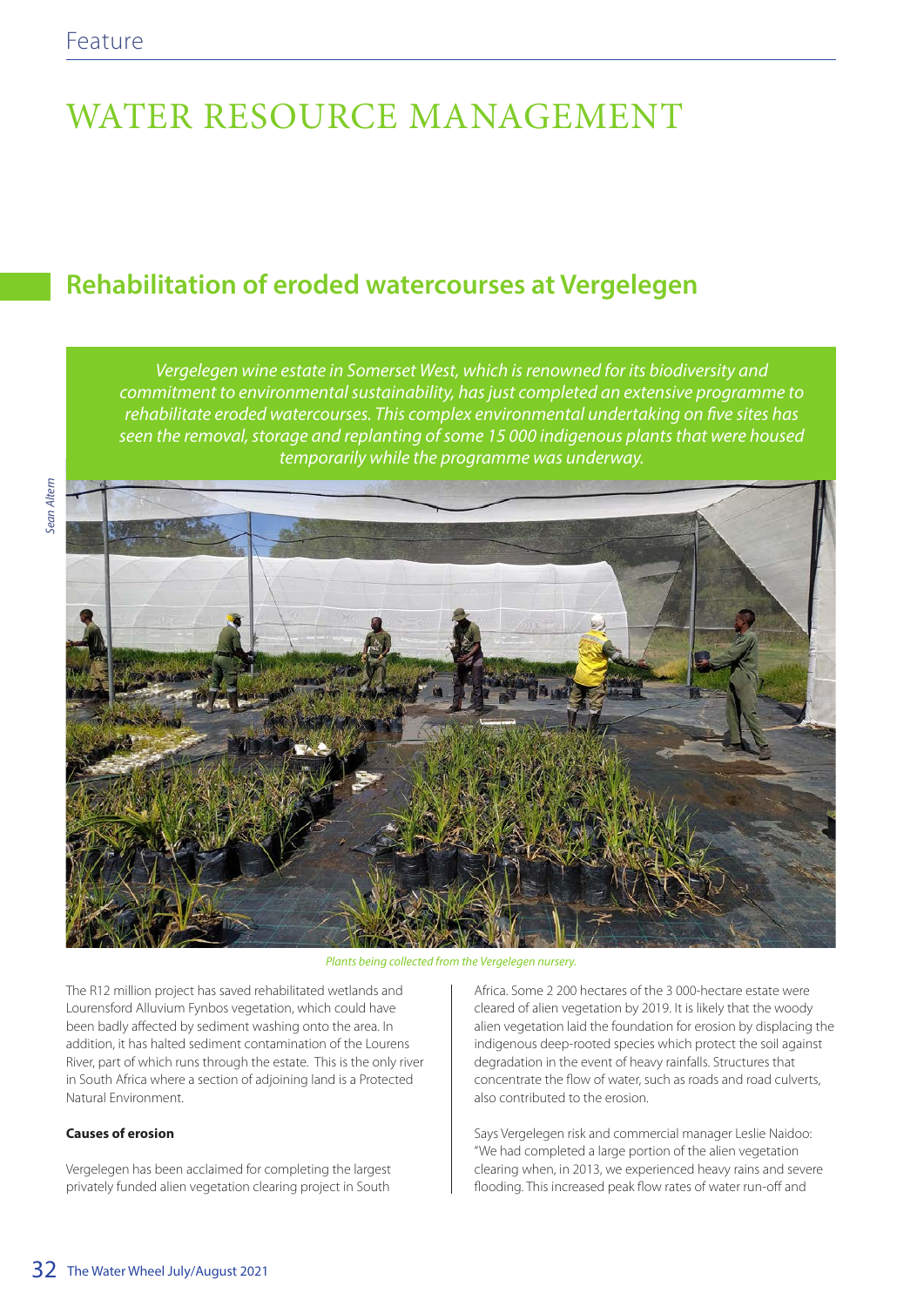# WATER RESOURCE MANAGEMENT

# **Rehabilitation of eroded watercourses at Vergelegen**

*Vergelegen wine estate in Somerset West, which is renowned for its biodiversity and commitment to environmental sustainability, has just completed an extensive programme to rehabilitate eroded watercourses. This complex environmental undertaking on five sites has seen the removal, storage and replanting of some 15 000 indigenous plants that were housed temporarily while the programme was underway.* 



*Plants being collected from the Vergelegen nursery.*

The R12 million project has saved rehabilitated wetlands and Lourensford Alluvium Fynbos vegetation, which could have been badly affected by sediment washing onto the area. In addition, it has halted sediment contamination of the Lourens River, part of which runs through the estate. This is the only river in South Africa where a section of adjoining land is a Protected Natural Environment.

## **Causes of erosion**

Vergelegen has been acclaimed for completing the largest privately funded alien vegetation clearing project in South

Africa. Some 2 200 hectares of the 3 000-hectare estate were cleared of alien vegetation by 2019. It is likely that the woody alien vegetation laid the foundation for erosion by displacing the indigenous deep-rooted species which protect the soil against degradation in the event of heavy rainfalls. Structures that concentrate the flow of water, such as roads and road culverts, also contributed to the erosion.

Says Vergelegen risk and commercial manager Leslie Naidoo: "We had completed a large portion of the alien vegetation clearing when, in 2013, we experienced heavy rains and severe flooding. This increased peak flow rates of water run-off and